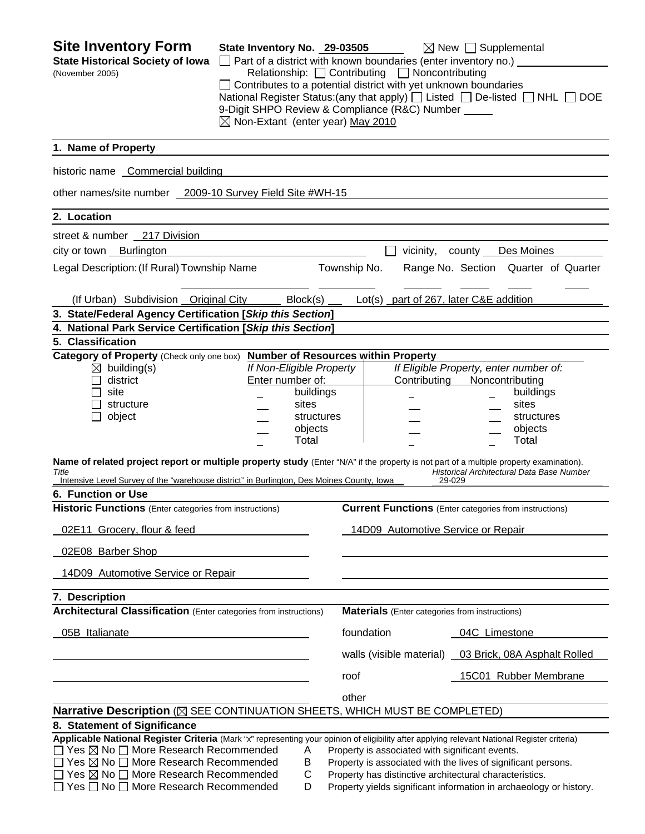| <b>Site Inventory Form</b><br><b>State Historical Society of Iowa</b><br>(November 2005)                                                                                                                                                                                                                                                                                                                                                                                                                                                         | State Inventory No. 29-03505<br>$\Box$ Part of a district with known boundaries (enter inventory no.) $\Box$<br>Contributes to a potential district with yet unknown boundaries<br>9-Digit SHPO Review & Compliance (R&C) Number<br>$\boxtimes$ Non-Extant (enter year) May 2010 |              | Relationship: Contributing Noncontributing            | $\boxtimes$ New $\Box$ Supplemental<br>National Register Status:(any that apply) [ Listed [ De-listed ] NHL [<br><b>DOE</b>                                                                                                               |
|--------------------------------------------------------------------------------------------------------------------------------------------------------------------------------------------------------------------------------------------------------------------------------------------------------------------------------------------------------------------------------------------------------------------------------------------------------------------------------------------------------------------------------------------------|----------------------------------------------------------------------------------------------------------------------------------------------------------------------------------------------------------------------------------------------------------------------------------|--------------|-------------------------------------------------------|-------------------------------------------------------------------------------------------------------------------------------------------------------------------------------------------------------------------------------------------|
| 1. Name of Property                                                                                                                                                                                                                                                                                                                                                                                                                                                                                                                              |                                                                                                                                                                                                                                                                                  |              |                                                       |                                                                                                                                                                                                                                           |
| historic name Commercial building                                                                                                                                                                                                                                                                                                                                                                                                                                                                                                                |                                                                                                                                                                                                                                                                                  |              |                                                       |                                                                                                                                                                                                                                           |
| other names/site number 2009-10 Survey Field Site #WH-15                                                                                                                                                                                                                                                                                                                                                                                                                                                                                         |                                                                                                                                                                                                                                                                                  |              |                                                       |                                                                                                                                                                                                                                           |
| 2. Location                                                                                                                                                                                                                                                                                                                                                                                                                                                                                                                                      |                                                                                                                                                                                                                                                                                  |              |                                                       |                                                                                                                                                                                                                                           |
| street & number 217 Division                                                                                                                                                                                                                                                                                                                                                                                                                                                                                                                     |                                                                                                                                                                                                                                                                                  |              |                                                       |                                                                                                                                                                                                                                           |
| city or town Burlington                                                                                                                                                                                                                                                                                                                                                                                                                                                                                                                          |                                                                                                                                                                                                                                                                                  |              |                                                       | vicinity, county Des Moines                                                                                                                                                                                                               |
| Legal Description: (If Rural) Township Name                                                                                                                                                                                                                                                                                                                                                                                                                                                                                                      |                                                                                                                                                                                                                                                                                  | Township No. |                                                       | Range No. Section Quarter of Quarter                                                                                                                                                                                                      |
| (If Urban) Subdivision Original City                                                                                                                                                                                                                                                                                                                                                                                                                                                                                                             | Block(s)                                                                                                                                                                                                                                                                         |              | Lot(s) part of 267, later C&E addition                |                                                                                                                                                                                                                                           |
| 3. State/Federal Agency Certification [Skip this Section]                                                                                                                                                                                                                                                                                                                                                                                                                                                                                        |                                                                                                                                                                                                                                                                                  |              |                                                       |                                                                                                                                                                                                                                           |
| 4. National Park Service Certification [Skip this Section]<br>5. Classification                                                                                                                                                                                                                                                                                                                                                                                                                                                                  |                                                                                                                                                                                                                                                                                  |              |                                                       |                                                                                                                                                                                                                                           |
| Category of Property (Check only one box) Number of Resources within Property<br>$\boxtimes$ building(s)<br>district<br>site<br>structure<br>object<br>Name of related project report or multiple property study (Enter "N/A" if the property is not part of a multiple property examination).<br>Title<br>Intensive Level Survey of the "warehouse district" in Burlington, Des Moines County, Iowa<br>6. Function or Use<br><b>Historic Functions</b> (Enter categories from instructions)<br>02E11 Grocery, flour & feed<br>02E08 Barber Shop | If Non-Eligible Property<br>Enter number of:<br>buildings<br>sites<br>objects<br>Total                                                                                                                                                                                           | structures   | Contributing<br>14D09 Automotive Service or Repair    | If Eligible Property, enter number of:<br>Noncontributing<br>buildings<br>sites<br>structures<br>objects<br>Total<br>Historical Architectural Data Base Number<br>29-029<br><b>Current Functions</b> (Enter categories from instructions) |
| 14D09 Automotive Service or Repair                                                                                                                                                                                                                                                                                                                                                                                                                                                                                                               |                                                                                                                                                                                                                                                                                  |              |                                                       |                                                                                                                                                                                                                                           |
| 7. Description                                                                                                                                                                                                                                                                                                                                                                                                                                                                                                                                   |                                                                                                                                                                                                                                                                                  |              |                                                       |                                                                                                                                                                                                                                           |
| <b>Architectural Classification</b> (Enter categories from instructions)                                                                                                                                                                                                                                                                                                                                                                                                                                                                         |                                                                                                                                                                                                                                                                                  |              | <b>Materials</b> (Enter categories from instructions) |                                                                                                                                                                                                                                           |
| 05B Italianate                                                                                                                                                                                                                                                                                                                                                                                                                                                                                                                                   |                                                                                                                                                                                                                                                                                  |              | foundation                                            | 04C Limestone                                                                                                                                                                                                                             |
|                                                                                                                                                                                                                                                                                                                                                                                                                                                                                                                                                  |                                                                                                                                                                                                                                                                                  |              | walls (visible material)                              | 03 Brick, 08A Asphalt Rolled                                                                                                                                                                                                              |
|                                                                                                                                                                                                                                                                                                                                                                                                                                                                                                                                                  |                                                                                                                                                                                                                                                                                  | roof         |                                                       | 15C01 Rubber Membrane                                                                                                                                                                                                                     |
|                                                                                                                                                                                                                                                                                                                                                                                                                                                                                                                                                  |                                                                                                                                                                                                                                                                                  | other        |                                                       |                                                                                                                                                                                                                                           |
| Narrative Description (X SEE CONTINUATION SHEETS, WHICH MUST BE COMPLETED)                                                                                                                                                                                                                                                                                                                                                                                                                                                                       |                                                                                                                                                                                                                                                                                  |              |                                                       |                                                                                                                                                                                                                                           |
| 8. Statement of Significance                                                                                                                                                                                                                                                                                                                                                                                                                                                                                                                     |                                                                                                                                                                                                                                                                                  |              |                                                       |                                                                                                                                                                                                                                           |
| Applicable National Register Criteria (Mark "x" representing your opinion of eligibility after applying relevant National Register criteria)<br>$\Box$ Yes $\boxtimes$ No $\Box$ More Research Recommended<br>□ Yes ⊠ No □ More Research Recommended<br>$\Box$ Yes $\boxtimes$ No $\Box$ More Research Recommended<br>$\Box$ Yes $\Box$ No $\Box$ More Research Recommended                                                                                                                                                                      | A<br>B<br>C<br>D                                                                                                                                                                                                                                                                 |              | Property is associated with significant events.       | Property is associated with the lives of significant persons.<br>Property has distinctive architectural characteristics.<br>Property yields significant information in archaeology or history.                                            |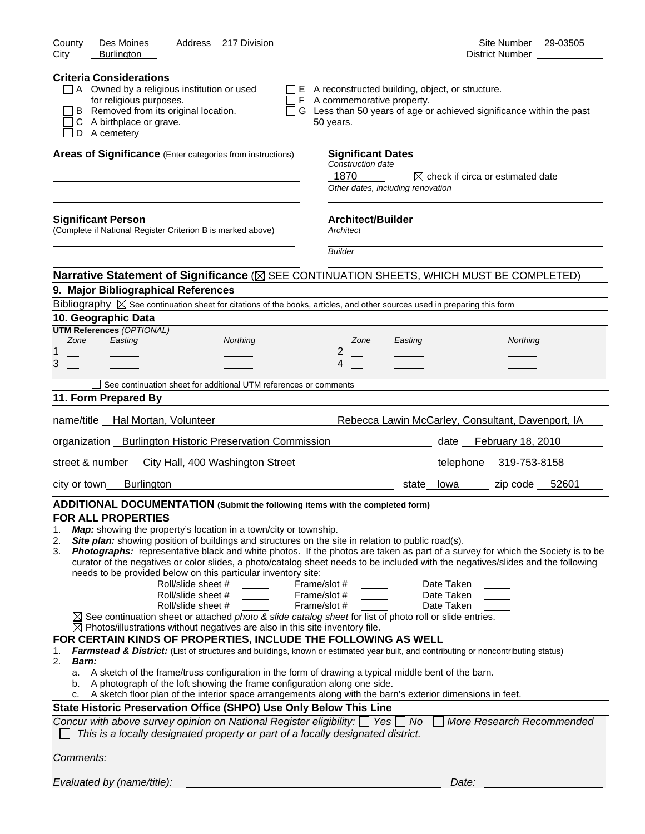| County<br>Des Moines<br>Address 217 Division                                                                                                                                                                                                                                                                                                                                                                                                                                                                                                                                                                                                                                                                                                                                                                                                                                                                                                                                                                                                                                                                                                                                                                                                                                                                                                                                                                                                                                                                                                                                                                                                                                                                                        | Site Number 29-03505                                                        |
|-------------------------------------------------------------------------------------------------------------------------------------------------------------------------------------------------------------------------------------------------------------------------------------------------------------------------------------------------------------------------------------------------------------------------------------------------------------------------------------------------------------------------------------------------------------------------------------------------------------------------------------------------------------------------------------------------------------------------------------------------------------------------------------------------------------------------------------------------------------------------------------------------------------------------------------------------------------------------------------------------------------------------------------------------------------------------------------------------------------------------------------------------------------------------------------------------------------------------------------------------------------------------------------------------------------------------------------------------------------------------------------------------------------------------------------------------------------------------------------------------------------------------------------------------------------------------------------------------------------------------------------------------------------------------------------------------------------------------------------|-----------------------------------------------------------------------------|
| <b>Burlington</b><br>City                                                                                                                                                                                                                                                                                                                                                                                                                                                                                                                                                                                                                                                                                                                                                                                                                                                                                                                                                                                                                                                                                                                                                                                                                                                                                                                                                                                                                                                                                                                                                                                                                                                                                                           | District Number ___________                                                 |
| <b>Criteria Considerations</b><br>$\Box$ A Owned by a religious institution or used<br>$\Box$ E A reconstructed building, object, or structure.<br>for religious purposes.<br>$\Box$ F A commemorative property.<br>B Removed from its original location.<br>C A birthplace or grave.<br>50 years.<br>D A cemetery                                                                                                                                                                                                                                                                                                                                                                                                                                                                                                                                                                                                                                                                                                                                                                                                                                                                                                                                                                                                                                                                                                                                                                                                                                                                                                                                                                                                                  | $\Box$ G Less than 50 years of age or achieved significance within the past |
| Areas of Significance (Enter categories from instructions)<br><b>Significant Dates</b><br>Construction date<br>1870<br>Other dates, including renovation                                                                                                                                                                                                                                                                                                                                                                                                                                                                                                                                                                                                                                                                                                                                                                                                                                                                                                                                                                                                                                                                                                                                                                                                                                                                                                                                                                                                                                                                                                                                                                            | $\boxtimes$ check if circa or estimated date                                |
| <b>Architect/Builder</b><br><b>Significant Person</b><br>(Complete if National Register Criterion B is marked above)<br>Architect<br><b>Builder</b>                                                                                                                                                                                                                                                                                                                                                                                                                                                                                                                                                                                                                                                                                                                                                                                                                                                                                                                                                                                                                                                                                                                                                                                                                                                                                                                                                                                                                                                                                                                                                                                 |                                                                             |
|                                                                                                                                                                                                                                                                                                                                                                                                                                                                                                                                                                                                                                                                                                                                                                                                                                                                                                                                                                                                                                                                                                                                                                                                                                                                                                                                                                                                                                                                                                                                                                                                                                                                                                                                     |                                                                             |
| Narrative Statement of Significance (X SEE CONTINUATION SHEETS, WHICH MUST BE COMPLETED)<br>9. Major Bibliographical References                                                                                                                                                                                                                                                                                                                                                                                                                                                                                                                                                                                                                                                                                                                                                                                                                                                                                                                                                                                                                                                                                                                                                                                                                                                                                                                                                                                                                                                                                                                                                                                                     |                                                                             |
| Bibliography $\boxtimes$ See continuation sheet for citations of the books, articles, and other sources used in preparing this form                                                                                                                                                                                                                                                                                                                                                                                                                                                                                                                                                                                                                                                                                                                                                                                                                                                                                                                                                                                                                                                                                                                                                                                                                                                                                                                                                                                                                                                                                                                                                                                                 |                                                                             |
| 10. Geographic Data                                                                                                                                                                                                                                                                                                                                                                                                                                                                                                                                                                                                                                                                                                                                                                                                                                                                                                                                                                                                                                                                                                                                                                                                                                                                                                                                                                                                                                                                                                                                                                                                                                                                                                                 |                                                                             |
| <b>UTM References (OPTIONAL)</b>                                                                                                                                                                                                                                                                                                                                                                                                                                                                                                                                                                                                                                                                                                                                                                                                                                                                                                                                                                                                                                                                                                                                                                                                                                                                                                                                                                                                                                                                                                                                                                                                                                                                                                    |                                                                             |
| Easting<br>Zone<br>Northing<br>Zone<br>Easting<br>2<br>1                                                                                                                                                                                                                                                                                                                                                                                                                                                                                                                                                                                                                                                                                                                                                                                                                                                                                                                                                                                                                                                                                                                                                                                                                                                                                                                                                                                                                                                                                                                                                                                                                                                                            | Northing                                                                    |
| 3<br>4                                                                                                                                                                                                                                                                                                                                                                                                                                                                                                                                                                                                                                                                                                                                                                                                                                                                                                                                                                                                                                                                                                                                                                                                                                                                                                                                                                                                                                                                                                                                                                                                                                                                                                                              |                                                                             |
|                                                                                                                                                                                                                                                                                                                                                                                                                                                                                                                                                                                                                                                                                                                                                                                                                                                                                                                                                                                                                                                                                                                                                                                                                                                                                                                                                                                                                                                                                                                                                                                                                                                                                                                                     |                                                                             |
| See continuation sheet for additional UTM references or comments                                                                                                                                                                                                                                                                                                                                                                                                                                                                                                                                                                                                                                                                                                                                                                                                                                                                                                                                                                                                                                                                                                                                                                                                                                                                                                                                                                                                                                                                                                                                                                                                                                                                    |                                                                             |
| 11. Form Prepared By                                                                                                                                                                                                                                                                                                                                                                                                                                                                                                                                                                                                                                                                                                                                                                                                                                                                                                                                                                                                                                                                                                                                                                                                                                                                                                                                                                                                                                                                                                                                                                                                                                                                                                                |                                                                             |
| name/title Hal Mortan, Volunteer                                                                                                                                                                                                                                                                                                                                                                                                                                                                                                                                                                                                                                                                                                                                                                                                                                                                                                                                                                                                                                                                                                                                                                                                                                                                                                                                                                                                                                                                                                                                                                                                                                                                                                    | Rebecca Lawin McCarley, Consultant, Davenport, IA                           |
| organization Burlington Historic Preservation Commission                                                                                                                                                                                                                                                                                                                                                                                                                                                                                                                                                                                                                                                                                                                                                                                                                                                                                                                                                                                                                                                                                                                                                                                                                                                                                                                                                                                                                                                                                                                                                                                                                                                                            | date February 18, 2010                                                      |
| street & number_ City Hall, 400 Washington Street                                                                                                                                                                                                                                                                                                                                                                                                                                                                                                                                                                                                                                                                                                                                                                                                                                                                                                                                                                                                                                                                                                                                                                                                                                                                                                                                                                                                                                                                                                                                                                                                                                                                                   | telephone 319-753-8158                                                      |
| <b>Burlington</b><br>city or town_                                                                                                                                                                                                                                                                                                                                                                                                                                                                                                                                                                                                                                                                                                                                                                                                                                                                                                                                                                                                                                                                                                                                                                                                                                                                                                                                                                                                                                                                                                                                                                                                                                                                                                  | state lowa zip code 52601                                                   |
| ADDITIONAL DOCUMENTATION (Submit the following items with the completed form)                                                                                                                                                                                                                                                                                                                                                                                                                                                                                                                                                                                                                                                                                                                                                                                                                                                                                                                                                                                                                                                                                                                                                                                                                                                                                                                                                                                                                                                                                                                                                                                                                                                       |                                                                             |
| <b>FOR ALL PROPERTIES</b><br>Map: showing the property's location in a town/city or township.<br>1.<br>Site plan: showing position of buildings and structures on the site in relation to public road(s).<br>2.<br>Photographs: representative black and white photos. If the photos are taken as part of a survey for which the Society is to be<br>3.<br>curator of the negatives or color slides, a photo/catalog sheet needs to be included with the negatives/slides and the following<br>needs to be provided below on this particular inventory site:<br>Roll/slide sheet #<br>Frame/slot #<br>Roll/slide sheet #<br>Frame/slot #<br>Frame/slot #<br>Roll/slide sheet #<br>$\boxtimes$ See continuation sheet or attached photo & slide catalog sheet for list of photo roll or slide entries.<br>$\boxtimes$ Photos/illustrations without negatives are also in this site inventory file.<br>FOR CERTAIN KINDS OF PROPERTIES, INCLUDE THE FOLLOWING AS WELL<br>Farmstead & District: (List of structures and buildings, known or estimated year built, and contributing or noncontributing status)<br>1.<br>2.<br>Barn:<br>a. A sketch of the frame/truss configuration in the form of drawing a typical middle bent of the barn.<br>A photograph of the loft showing the frame configuration along one side.<br>b.<br>A sketch floor plan of the interior space arrangements along with the barn's exterior dimensions in feet.<br>c.<br>State Historic Preservation Office (SHPO) Use Only Below This Line<br>Concur with above survey opinion on National Register eligibility: $\Box$ Yes $\Box$ No $\Box$ More Research Recommended<br>This is a locally designated property or part of a locally designated district. | Date Taken<br>Date Taken<br>Date Taken                                      |
| Comments:                                                                                                                                                                                                                                                                                                                                                                                                                                                                                                                                                                                                                                                                                                                                                                                                                                                                                                                                                                                                                                                                                                                                                                                                                                                                                                                                                                                                                                                                                                                                                                                                                                                                                                                           |                                                                             |
| Evaluated by (name/title):                                                                                                                                                                                                                                                                                                                                                                                                                                                                                                                                                                                                                                                                                                                                                                                                                                                                                                                                                                                                                                                                                                                                                                                                                                                                                                                                                                                                                                                                                                                                                                                                                                                                                                          | Date:                                                                       |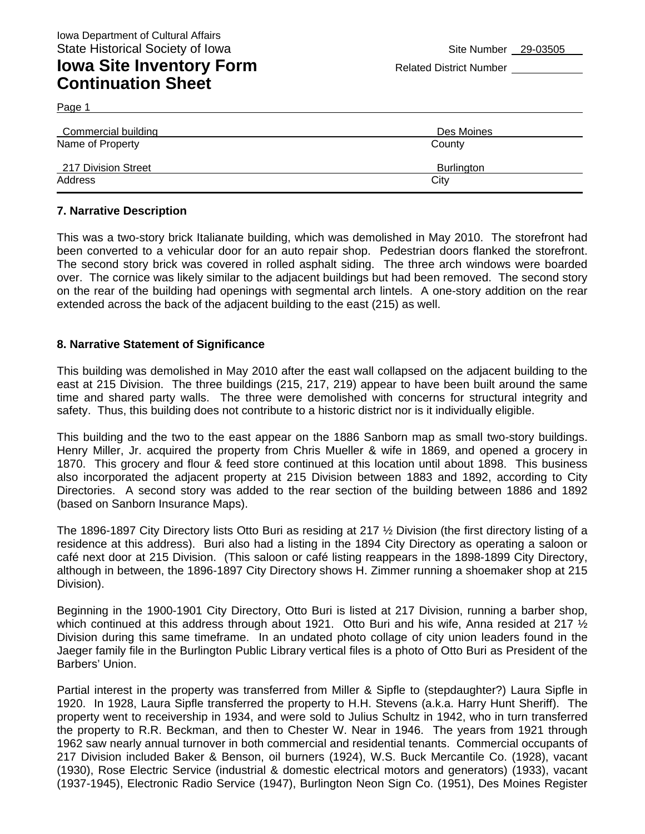## **Iowa Site Inventory Form** Related District Number **Related District Number Continuation Sheet**

Page 1

| Commercial building | Des Moines        |
|---------------------|-------------------|
| Name of Property    | County            |
| 217 Division Street | <b>Burlington</b> |
| Address             | City              |

#### **7. Narrative Description**

This was a two-story brick Italianate building, which was demolished in May 2010. The storefront had been converted to a vehicular door for an auto repair shop. Pedestrian doors flanked the storefront. The second story brick was covered in rolled asphalt siding. The three arch windows were boarded over. The cornice was likely similar to the adjacent buildings but had been removed. The second story on the rear of the building had openings with segmental arch lintels. A one-story addition on the rear extended across the back of the adjacent building to the east (215) as well.

#### **8. Narrative Statement of Significance**

This building was demolished in May 2010 after the east wall collapsed on the adjacent building to the east at 215 Division. The three buildings (215, 217, 219) appear to have been built around the same time and shared party walls. The three were demolished with concerns for structural integrity and safety. Thus, this building does not contribute to a historic district nor is it individually eligible.

This building and the two to the east appear on the 1886 Sanborn map as small two-story buildings. Henry Miller, Jr. acquired the property from Chris Mueller & wife in 1869, and opened a grocery in 1870. This grocery and flour & feed store continued at this location until about 1898. This business also incorporated the adjacent property at 215 Division between 1883 and 1892, according to City Directories. A second story was added to the rear section of the building between 1886 and 1892 (based on Sanborn Insurance Maps).

The 1896-1897 City Directory lists Otto Buri as residing at 217 ½ Division (the first directory listing of a residence at this address). Buri also had a listing in the 1894 City Directory as operating a saloon or café next door at 215 Division. (This saloon or café listing reappears in the 1898-1899 City Directory, although in between, the 1896-1897 City Directory shows H. Zimmer running a shoemaker shop at 215 Division).

Beginning in the 1900-1901 City Directory, Otto Buri is listed at 217 Division, running a barber shop, which continued at this address through about 1921. Otto Buri and his wife, Anna resided at 217  $\frac{1}{2}$ Division during this same timeframe. In an undated photo collage of city union leaders found in the Jaeger family file in the Burlington Public Library vertical files is a photo of Otto Buri as President of the Barbers' Union.

Partial interest in the property was transferred from Miller & Sipfle to (stepdaughter?) Laura Sipfle in 1920. In 1928, Laura Sipfle transferred the property to H.H. Stevens (a.k.a. Harry Hunt Sheriff). The property went to receivership in 1934, and were sold to Julius Schultz in 1942, who in turn transferred the property to R.R. Beckman, and then to Chester W. Near in 1946. The years from 1921 through 1962 saw nearly annual turnover in both commercial and residential tenants. Commercial occupants of 217 Division included Baker & Benson, oil burners (1924), W.S. Buck Mercantile Co. (1928), vacant (1930), Rose Electric Service (industrial & domestic electrical motors and generators) (1933), vacant (1937-1945), Electronic Radio Service (1947), Burlington Neon Sign Co. (1951), Des Moines Register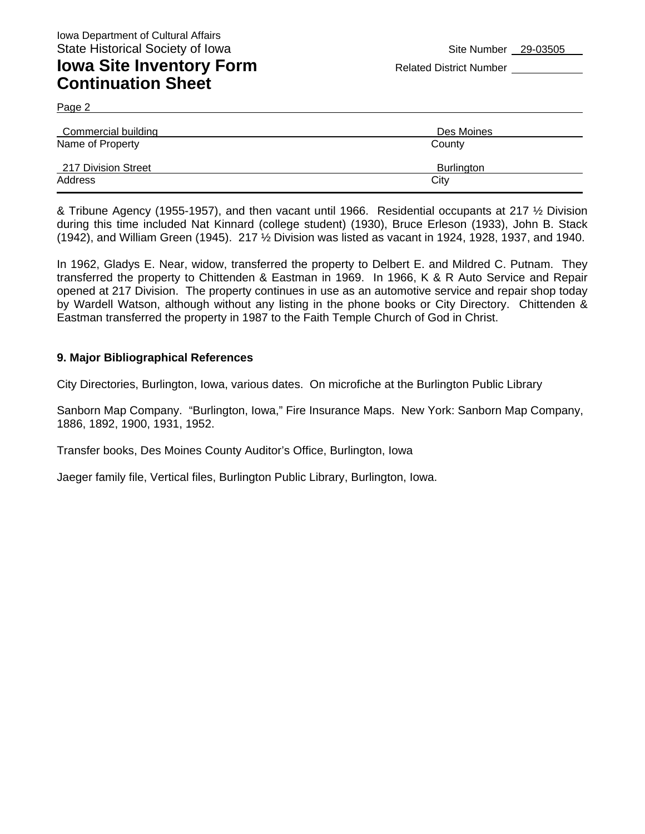### **Iowa Site Inventory Form** Related District Number **Related District Number Continuation Sheet**

Page 2

| Commercial building | Des Moines        |
|---------------------|-------------------|
| Name of Property    | County            |
| 217 Division Street | <b>Burlington</b> |
| Address             | City              |

& Tribune Agency (1955-1957), and then vacant until 1966. Residential occupants at 217 ½ Division during this time included Nat Kinnard (college student) (1930), Bruce Erleson (1933), John B. Stack (1942), and William Green (1945). 217 ½ Division was listed as vacant in 1924, 1928, 1937, and 1940.

In 1962, Gladys E. Near, widow, transferred the property to Delbert E. and Mildred C. Putnam. They transferred the property to Chittenden & Eastman in 1969. In 1966, K & R Auto Service and Repair opened at 217 Division. The property continues in use as an automotive service and repair shop today by Wardell Watson, although without any listing in the phone books or City Directory. Chittenden & Eastman transferred the property in 1987 to the Faith Temple Church of God in Christ.

#### **9. Major Bibliographical References**

City Directories, Burlington, Iowa, various dates. On microfiche at the Burlington Public Library

Sanborn Map Company. "Burlington, Iowa," Fire Insurance Maps. New York: Sanborn Map Company, 1886, 1892, 1900, 1931, 1952.

Transfer books, Des Moines County Auditor's Office, Burlington, Iowa

Jaeger family file, Vertical files, Burlington Public Library, Burlington, Iowa.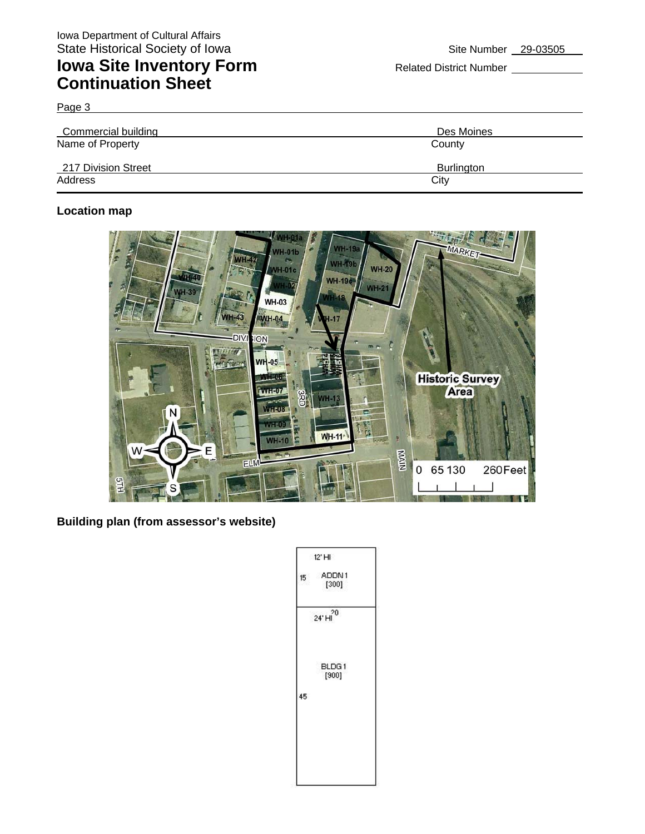# **Iowa Site Inventory Form** Related District Number **Relation Continuation Sheet**

Page 3

| Commercial building | Des Moines        |
|---------------------|-------------------|
| Name of Property    | County            |
| 217 Division Street | <b>Burlington</b> |
| Address             | City              |

### **Location map**



**Building plan (from assessor's website)** 

|    | $12'$ HI               |
|----|------------------------|
| 15 | ADDN1<br>[300]         |
|    | $24^{\circ}$ H $^{20}$ |
| 45 | BLDG1<br>[900]         |
|    |                        |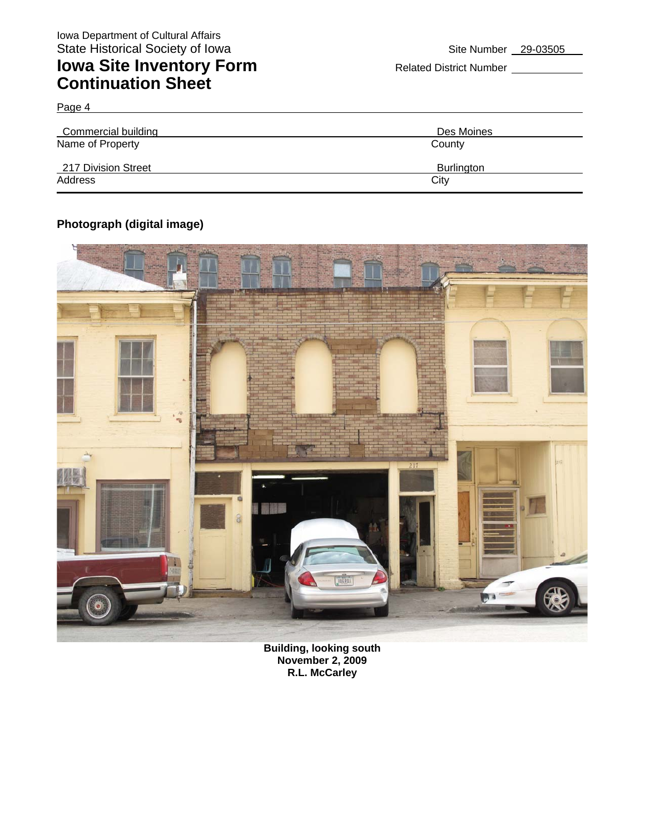## **Iowa Site Inventory Form** Related District Number **Continuation Sheet**

| Commercial building | Des Moines        |
|---------------------|-------------------|
| Name of Property    | County            |
| 217 Division Street | <b>Burlington</b> |
| Address             | City              |

### **Photograph (digital image)**

Page 4



**Building, looking south November 2, 2009 R.L. McCarley**